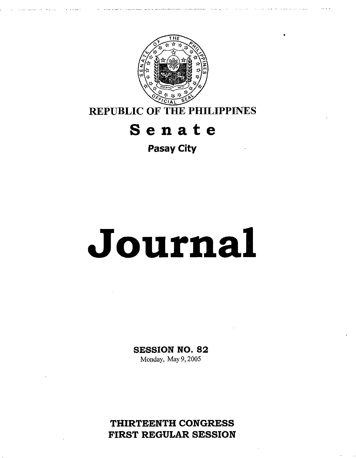

**REPUBLIC OF THE PHILIPPINES** 

## **Senate**

**Pasay City** 

# **Journal**

## **SESSION NO. 82**

Monday, May 9,2005

**THIRTEENTH CONGRESS FIRST REGULAR SESSION**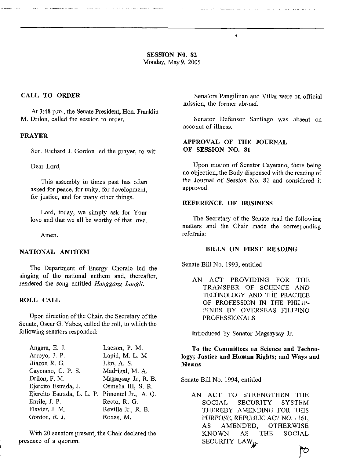**SESSION NO. 82**  Monday, May9, 2005

#### **CALL TO ORDER**

At 3:48 p.m., the Senate President, Hon. Franklin **M.** Drilon, called the session to order.

#### **PRAYER**

Sen. Richard J. Gordon led the prayer, to wit:

Dear Lord,

This assembly in times past has often asked for peace, for unity, for development, for justice, and for many other things.

Lord, today, we simply **ask** for Your love and that we all be worthy of that love.

Amen.

#### **NATIONAL ANTHEM**

The Department of Energy Chorale led the singing of the national anthem and, thereafter, rendered the song entitled *Hanggang Langit,* 

#### **ROLL CALL**

Upon direction of the Chair, the Secretary of the Senate, Oscar G. Yabes, called the roll, to which the following senators responded:

| Angara, E. J.              | Lacson, P. M.        |
|----------------------------|----------------------|
| Arroyo, J. P.              | Lapid, M. L. M       |
| Biazon R. G.               | Lim, A. S.           |
| Cayetano, C. P. S.         | Madrigal, M. A.      |
| Drilon, F. M.              | Magsaysay Jr., R. B. |
| Ejercito Estrada, J.       | Osmeña III, S. R.    |
| Ejercito Estrada, L. L. P. | Pimentel Jr., A. Q.  |
| Enrile, J. P.              | Recto, R. G.         |
| Flavier, J. M.             | Revilla Jr., R. B.   |
| Gordon, R. J.              | Roxas, M.            |

With 20 senators present, the Chair declared the presence of a quorum.

Senators Pangilinan and Villar were on official mission, the former abroad.

Senator Defensor Santiago was absent on account of illness.

#### **APPROVAL OF THE JOURNAL OF SESSION NO. 81**

 $\bullet$ 

Upon motion of Senator Cayetano, there being no objection, the Body dispensed with the reading of the Journal of Session No. 81 and considered it approved.

#### **REFERENCE OF BUSINESS**

The Secretary of the Senate read the following matters and the Chair made the corresponding referrals:

#### **BILLS ON FIRST READING**

Senate Bill No. 1993, entitled

AN ACT PROVIDING FOR THE TRANSFER OF SCIENCE AND **TECHNOLOGY AND THE PRACTICE** OF PROFESSION IN THE PHILIP-PINES BY OVERSEAS FILIPINO PROFESSIONALS

Introduced by Senator Magsaysay Jr.

#### **To the Committees on Science and Technology; Justice and Human Rights; and Ways and Means**

Senate Bill No. 1994, entitled

AN ACT TO STRENGTHEN THE SOCIAL SECURITY SYSTEM THEREBY AMENDING FOR THIS PURPOSE, REPUBLIC ACT NO. 1161, AS AMENDED, OTHERWISE KNOWN AS THE SOCIAL SECURITY LAW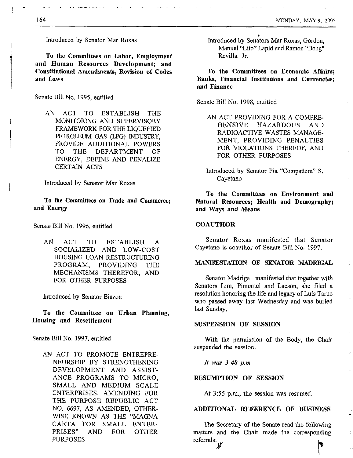Introduced by Senator Mar Roxas

To the Committees **on** Labor, Employment and Human Resources Development; and Constitutional Amendments, Revision **of** Codes and **Laws** 

Senate Bill No. 1995, entitled

AN ACT TO ESTABLISH THE MONITORING AND SUPERVISORY FRAMEWORK FOR THE LIQUEFIED PETROLEUM GAS (LPG) INDUSTRY, PROVIDE ADDITIONAL POWERS TO THE DEPARTMENT OF ENERGY, DEFINE AND PENALIZE CERTAIN ACTS

Introduced by Senator Mar Roxas

To the Committees **on** Trade and Commerce; and Energy

Senate Bill No. 1996, entitled

AN ACT TO ESTABLISH A SOCIALIZED AND LOW-COST HOUSING LOAN RESTRUCTURING PROGRAM, PROVIDING THE MECHANISMS THEREFOR, AND FOR OTHER PURPOSES

Introduced by Senator Biazon

To the Committee **on** Urban Planning, Housing and Resettlement

Senate Bill No. 1997, entitled

AN ACT TO PROMOTE ENTREPRE-NEURSHIP BY STRENGTHENING DEVELOPMENT AND ASSIST-ANCE PROGRAMS TO MICRO, SMALL AND MEDIUM SCALE ENTERPRISES, AMENDING FOR THE PURPOSE REPUBLIC ACT NO. 6697, AS AMENDED, OTHER-WISE KNOWN AS THE "MAGNA CARTA FOR SMALL ENTER-PRISES" AND FOR OTHER PURPOSES

Introduced by Senators Mar Roxas, Gordon, Manuel "Lito" Lapid and Ramon "Bong" Revilla Jr.

To the Committees **on** Economic Affairs; **Banks,** Financial Institutions and Currencies; and Finance

Senate Bill No. 1998, entitled

AN ACT PROVIDING FOR A COMPRE-HENSIVE HAZARDOUS AND RADIOACTIVE WASTES MANAGE-MENT, PROVIDING PENALTIES FOR VIOLATIONS THEREOF, AND FOR OTHER PURPOSES

To the Committees **on** Environment and Natural Resources; Health and Demography; and Ways and Means

#### **COAUTHOR**

Senator Roxas manifested that Senator Cayetano is coauthor of Senate Bill No. 1997.

#### **MANIFESTATION OF SENATOR MADRIGAL**

Senator Madrigal manifested that together with Senators Lim, Pimentel and Lacson, she filed a resolution honoring the life and legacy of Luis Taruc who passed away last Wednesday and was buried last Sunday.

#### SUSPENSION **OF** SESSION

With the permission of the Body, the Chair suspended the session.

*It was 3.48 p.m.* 

#### RESUMPTION OF SESSION

At 3:55 p.m., the session was resumed.

#### ADDITIONAL REFERENCE OF BUSINESS

The Secretary of the Senate read the following matters and the Chair made the corresponding referrals: **P** 

i

I I

 $\int$ 

I i I 1 I i

i 1 I

i

Introduced by Senator Pia "Compafiera" **S.**  Cayetano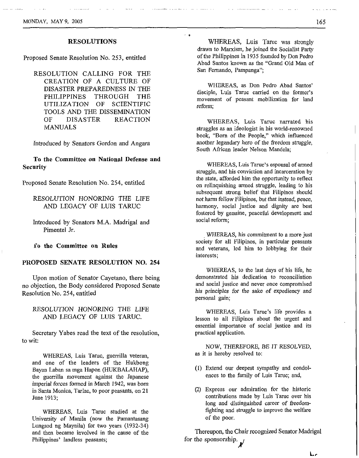#### RESOLUTIONS

Proposed Senate Resolution No. 253, entitled

RESOLUTION CALLING FOR THE CREATION OF A CULTURE OF DISASTER PREPAREDNESS **IN** THE PHILIPPINES THROUGH THE UTILIZATION OF SCIENTIFIC TOOLS AND THE DISSEMINATION OF DISASTER REACTION MANUALS

Introduced by Senators Gordon and Angara

#### **To** the Committee on National Defense and Security

Proposed Senate Resolution No. 254, entitled

RESOLUTION HONORING THE LIFE AND LEGACY OF LUIS TARUC

Introduced by Senators M.A. Madrigal and Pimentel Jr.

**fo** the Committee **on** Rules

#### PROPOSED SENATE RESOLUTION NO. **254**

Upon motion of Senator Cayetano, there being no objection, the Body considered Proposed Senate Resolution No. 254, entitled

RESOLUTION HONORING THE LIFE AND LEGACY OF LUIS TARUC.

Secretary Yabes read the text of the resolution, to wit:

WHEREAS, Luis Taruc, guerrilla veteran, and one of the leaders of the Hukbong Bayan Laban sa mga Hapon (HUKBALAHAP), the guerrilla movement against the Japanese imperial forces formed in March 1942, was born in Santa Monica, Tarlac, to poor peasants, on 21 Sune 1913;

WHEREAS, Luis Taruc studied at the University of Manila (now the Pamantasang Lungsod ng Maynila) for two years **(1932-34)**  and then became involved in the cause of the Philippines' landless peasants;

WHEREAS, Luis Taruc was strongly drawn to Marxism, he joined the Socialist Party of the Philippines in 1935 founded by Don Pedro Abad Santos known as the "Grand Old Man of San Fernando, Pampanga";

~' *1)* 

WHEREAS, **as** Don Pedro Abad Santos' disciple, Luis Taruc carried on the former's movement of peasant mobilization **for** land reform;

WHEREAS, Luis Taruc narrated his struggles as an ideologist in his world-renowned book, "Born of the People," which influenced another legendary hero of the freedom struggle, South African leader Nelson Mandela;

WHEREAS, Luis Taruc's espousal of armed struggle, and his conviction and incarceration by the state, afforded him the opportunity to reflect on relinquishing armed struggle, leading to his subsequent strong belief that Filipinos should not harm fellow Filipinos, but that instead, peace, harmony, social justice and dignity are best fostered by genuine, peaceful development and social reform;

WHEREAS, his commitment to a more just society for all Filipinos, in particular peasants and veterans, led him to lobbying for their interests;

WHEREAS, to the last days of his life, he demonstrated his dedication to reconciliation and social justice and never once compromised his principles for the sake of expediency and personal gain;

WHEREAS, Luis Tarnc's life provides a lesson to all Filipinos about the urgent and essential importance of social justice and its practical application.

NOW, THEREFORE, BE IT RESOLVED, as it is hereby resolved to:

- (1) Extend our deepest sympathy and condolences to the family of Luis Taruc; and,
- (2) Express our admiration for the historic contributions made by Luis Taruc over his long and distinguished career of freedomfighting and struggle to improve the welfare of the poor.

Thereupon, the Chair recognized Senator Madrigal for the sponsorship.

*Lr*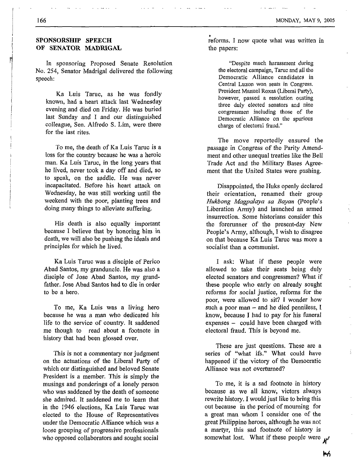#### **SPONSORSHIP SPEECH OF SENATOR MADRIGAL**

In sponsoring Proposed Senate Resolution No. 254, Senator Madrigal delivered the following speech:

Ka Luis Taruc, as he was fondly known, had a heart attack last Wednesday evening and died on Friday. **He** was buried last Sunday and I and our distinguished colleague, Sen. Alfred0 **S.** Lim, were there for the last rites,

To me, the death of Ka Luis Taruc is a loss for the country because he was a heroic man. Ka Luis Taruc, in the long years that he lived, never took a day off and died, so to speak, on the saddle. He was never incapacitated. Before his heart attack on Wednesday, he was still working until the weekend with the poor, planting trees and doing many things to alleviate suffering.

His death is also equally important because I believe that by honoring him in death, we will also be pushing the ideals and principles for which he lived.

Ka Luis Taruc was a disciple of Perico Abad Santos, my granduncle. He was also a disciple of Jose Abad Santos, my grandfather. Jose Abad Santos had to die in order to be a hero.

To me, Ka Luis was a living hero because he was **a** man who dedicated his life to the service of country. It saddened me though to read about a footnote in history that had been glossed over.

This is not a commentary nor judgment on the actuations of the Liberal Party of which our distinguished and beloved Senate President is a member. This is simply the musings and ponderings of a lonely person who was saddened by the death of someone she admired. It saddened me to learn that in the 1946 elections, Ka Luis Taruc was elected to the House of Representatives under the Democratic Alliance which was a loose grouping of progressive professionals who opposed collaborators and sought social

reforms. I now quote what was written in the papers:

"Despite much harassment during the electoral campaign. Taruc and all the Democratic Alliance candidates in Central Luzon won seats in Congress. President Manuel Roxas (Liberal Party), however, passed a resolution ousting three duly elected senators and nine congressmen including those of the Democratic Alliance on the spurious charge of electoral fraud."

The move reportedly ensured the passage in Congress of the Parity Amendment and other unequal treaties like the Bell Trade Act and the Military Bases Agreement that the United States were pushing.

Disappointed, the Huks openly declared their orientation, renamed their group *Hukbong Magpulaya sa Buyan* (People's Liberation Army) and launched an armed insurrection. Some historians consider this the forerunner of the present-day New People's Army, although, **I** wish to disagree on that because Ka Luis Taruc was more a socialist than a communist.

I ask: What if these people were allowed to take their seats being duly elected senators and congressmen? What if these people who early on already sought reforms for social justice, reforms for the poor, were allowed to sit? I wonder how such a poor man - and he died penniless, **<sup>I</sup>** know, because I had to pay for his funeral expenses - could have been charged with electoral fraud. This is beyond me.

These are just questions. These are a series of "what ifs." What could have happened if the victory of the Democratic Alliance was not overturned?

To me, it is a sad footnote in history because as we all know, victors always rewrite history. I would just like to bring this out because in the period of mourning for a great man whom I consider one of the great Philippine heroes, although he was not a martyr, this sad footnote of history is somewhat lost. What if these people were  $\mu$ 

w,

Ň,

ă,

166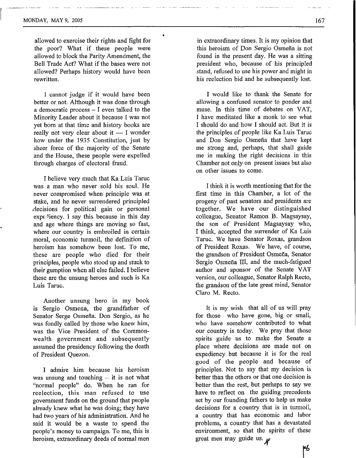allowed to exercise their rights and fight for the poor? What if these people were allowed to block the Parity Amendment, the Bell Trade Act? What if the bases were not allowed? Perhaps history would have been rewritten.

1 cannot judge if it would have been better or not. Although it was done through a democratic process  $-$  I even talked to the Minority Leader about it because I was not yet born at that time and history books are Minority Leader about it because I was not<br>yet born at that time and history books are<br>really not very clear about it — I wonder<br>have under the 1025 Constitution, just by how under the **1935** Constitution, just by sheer force of the majority of the Senate and the House, these people were expelled through charges of electoral fraud.

I believe very much that Ka Luis Taruc was a man who never sold his soul. He never compromised when principle was at stake, and he never surrendered principled decisions for political gain or personal  $exp<sub>ε</sub>$ -expc<sub>1</sub> iency. I say this because in this day and age where things are moving so fast, where our country is embroiled in certain moral, economic turmoil, the definition of heroism has somehow been lost. To me, these are people who died for their principles, people who stood up and stuck to their gumption when all else failed. I believe these are the unsung heroes and such is Ka Luis Taruc.

Another unsung hero in my book is Sergio Osmena, the grandfather of Senator Serge Osmefia. Don Sergio, as he was fondly called by those who knew him, was the Vice President of the Commonwealth government and subsequently assumed the presidency following the death of President Quezon.

**I** admire him because his heroism was unsung and touching  $-$  it is not what "normal people" do. When he ran for reelection, this man refused to use government funds on the ground that people already knew what he was doing; they have had two years of his administration. And he said it would be a waste to spend the people's money to campaign. To me, this is heroism, extraordinary deeds of normal men in extraordinary times. It is my opinion that this heroism of Don Sergio Osmefia is not found in the present day. He was a sitting president who, because of his principled stand, refused to use his power and might in his reelection bid and he subsequently lost.

I would like to thank the Senate for allowing a confused senator to ponder and muse. **In** this time of debates on VAT, **I** have meditated like a monk to see what I should do and how I should act. But it is the principles of people like Ka Luis Taruc and Don Sergio Osmefia that have kept me strong and, perhaps, that shall guide me in making the right decisions in this Chamber not only on present issues but also on other issues to come.

I think it is worth mentioning that for the first time in this Chamber, a lot of the progeny of past senators and presidents are together. We have our distinguished colleague, Senator Ramon B. Magsaysay, the son of President Magsaysay who, I think, accepted the surrender of Ka Luis Taruc. We have Senator Roxas, grandson of President Roxas. We have, of course, the grandson of President Osmefia, Senator Sergio Osmeña III, and the much-fatigued author and sponsor of the Senate VAT version, our colleague, Senator Ralph Recto, the grandson of the late great mind, Senator Claro M. Recto.

It is my wish that all of us will pray for those who have gone, big or small, who have somehow contributed to what our country is today. We pray that those spirits guide us to make the Senate a place where decisions are made not on expediency hut because it is for the real good of the people and because of principles. Not to say that my decision is better than the others or that one decision is better than the rest, but perhaps to say we have to reflect on the guiding precedents set by our founding fathers to help us make decisions for a country that is in turmoil, a country that has economic and labor problems, a country that has a devastated environment, so that the spirits of these great men may guide us.  $\psi$ 

٣Ь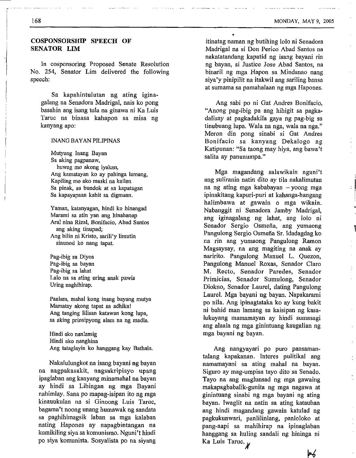~~ ~ . , . ~..~.. ~ ~~. ,

#### **COSPONSORSHIP SPEECH OF SENATOR LIM**

In cosponsoring Proposed Senate Resolution No. 254, Senator Lim delivered the following speech:

Sa kapahintulutan ng ating iginagalang na Senadora Madrigal, nais ko pong basahin ang isang tula na ginawa ni Ka Luis Taruc na binasa kahapon sa misa ng kanyang apo:

#### INANG BAYAN **PILIF'INAS**

Mutyang Inang Bayan Sa aking pagpanaw, huwag mo akong iyakau, Ang kamatayan ko ay pahinga lamang, Kapiling mo ako maski na kailan Sa pinak, sa bundok at sa kapatagan Sa kapayapaan kahit sa digmaan.

Yaman, katanyagan, hindi ko binangad Marami sa atin yan ang hinahanap Aral nina Rizal, Bonifacio, Abad Santos Ang bilin ni Kristo, sarili'y limutin ang aking tinupad; sinunod ko nang tapat.

Pag-ibig sa Diyos Pag-ibig sa bayan Pag-ibig sa lahat Lalo na sa ating uring anak pawis Uring naghihirap.

Paalam, mahal kong inang bayang mutya Mamatay akong tapat sa adhika! Ang tanging lilisan katawan kong lupa, sa aking prinsipyong alam na ng madla.

Hindi ako nanlamig Hindi ako nanghina Ang tataglayin ko hanggang kay Bathala.

Nakalulungkot na isang bayani ng bayan na nagpakasakit, nagsakripisyo upang ipaglaban ang kanyang minamahal na bayan ay hindi sa Lihingan ng mga Bayani nahimlay. Sana PO mapag-isipan ito ng mga kinauuknlan na si Ginoong Luis Taruc, bagama't noong unang humawak ng sandata sa paghihimagsik laban sa mga kalaban nating Hapones ay napagbintangan na kumikiling siya sa komunismo. Nguni't hindi po siya komunista. Sosyalista po na siyang itinatag naman ng butihing lolo ni Senadora Madrigal na si Don Perico Abad Santos na nakatatandang kapatid ng isang bayani rin ng bayan, si Justice Jose Abad Santos, na binaril ng mga Hapon sa Mindanao nang siya'y pinipilit na itakwil ang sariling bansa at sumama sa pamahalaan ng mga Hapones.

Ang sabi po ni Gat Andres Bonifacio, "Anong pag-ibig pa ang hihigit sa pagkadalisay at pagkadakila gaya ng pag-big sa tinubuang lupa. Wala na nga, wala na nga." Meron din pong sinabi si Gat Andres Bonifacio sa kanyang Dekalogo ng Katipunan: "Sa taong may hiya, ang bawa't salita ay panunumpa."

Mga magandang salawikain nguni't ang suliranin natin dit0 ay tila nakalimutan na ng ating mga kababayan - yoong mga ipinakitang kapuri-puri at kahanga-hangang halimbawa at gawain o mga wikain. Nabanggit ni Senadora Jamby Madrigal, ang iginagalang ng lahat, ang lolo ni Senador Sergio Osmefia, ang yumaong Pangulong Sergio Osmefia Sr. Idadagdag ko na rin ang yumaong Pangulong Ramon Magsaysay, na ang magiting na anak ay naririto. Pangulong Manuel L. Quezon, Pangulong Manuel Roxas, Senador Claro M. Recto, Senador Paredes, Senador Primicias, Senador Sumulong, Senador Diokno, Senador Laurel, dating Pangulong Laurel. Mga bayani ng bayan. Napakarami **PO** nila. Ang ipinagtataka ko ay knng bakit ni bahid man lamang sa kaisipan ng kasalukuyang mamamayan ay hindi sumasagi ang alaala ng mga ginintuang kaugalian ng mga bayani ng bayan.

Ang nangyayari po puro pansamantalang kapakanan. Interes pulitikal ang namamayani sa ating mahal na bayan. Siguro ay mag-umpisa tayo dit0 sa Senado. Tayo na ang maglnnsad ng mga gawaing makapagbabalik-gunita ng mga nagawa at ginintuang sinabi ng mga bayani ng ating bayan. Iwaglit na natin sa ating katauhan ang hindi magandang gawain katulad ng pagkukunwari, panlilinlang, panloloko at pang-aapi sa mahihirap na ipinaglahan hanggang sa huling sandali ng hininga ni Ka Luis Taruc. *k* 

⊮